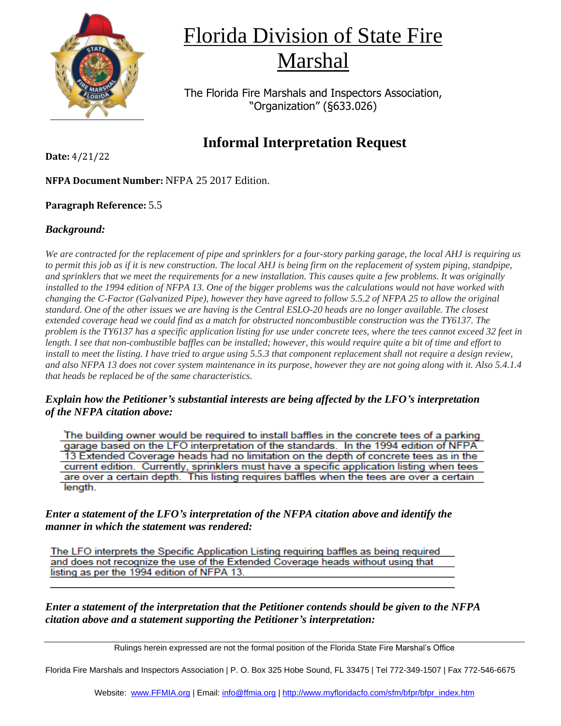

## Florida Division of State Fire Marshal

The Florida Fire Marshals and Inspectors Association, "Organization" (§633.026)

### **Informal Interpretation Request**

**Date:** 4/21/22

**NFPA Document Number:** NFPA 25 2017 Edition.

#### **Paragraph Reference:** 5.5

#### *Background:*

*We are contracted for the replacement of pipe and sprinklers for a four-story parking garage, the local AHJ is requiring us to permit this job as if it is new construction. The local AHJ is being firm on the replacement of system piping, standpipe, and sprinklers that we meet the requirements for a new installation. This causes quite a few problems. It was originally installed to the 1994 edition of NFPA 13. One of the bigger problems was the calculations would not have worked with changing the C-Factor (Galvanized Pipe), however they have agreed to follow 5.5.2 of NFPA 25 to allow the original standard. One of the other issues we are having is the Central ESLO-20 heads are no longer available. The closest extended coverage head we could find as a match for obstructed noncombustible construction was the TY6137. The problem is the TY6137 has a specific application listing for use under concrete tees, where the tees cannot exceed 32 feet in length. I see that non-combustible baffles can be installed; however, this would require quite a bit of time and effort to install to meet the listing. I have tried to argue using 5.5.3 that component replacement shall not require a design review, and also NFPA 13 does not cover system maintenance in its purpose, however they are not going along with it. Also 5.4.1.4 that heads be replaced be of the same characteristics.* 

#### *Explain how the Petitioner's substantial interests are being affected by the LFO's interpretation of the NFPA citation above:*

The building owner would be required to install baffles in the concrete tees of a parking garage based on the LFO interpretation of the standards. In the 1994 edition of NFPA 13 Extended Coverage heads had no limitation on the depth of concrete tees as in the current edition. Currently, sprinklers must have a specific application listing when tees are over a certain depth. This listing requires baffles when the tees are over a certain length.

*Enter a statement of the LFO's interpretation of the NFPA citation above and identify the manner in which the statement was rendered:*

The LFO interprets the Specific Application Listing requiring baffles as being required and does not recognize the use of the Extended Coverage heads without using that listing as per the 1994 edition of NFPA 13.

*Enter a statement of the interpretation that the Petitioner contends should be given to the NFPA citation above and a statement supporting the Petitioner's interpretation:*

Rulings herein expressed are not the formal position of the Florida State Fire Marshal's Office

Florida Fire Marshals and Inspectors Association | P. O. Box 325 Hobe Sound, FL 33475 | Tel 772-349-1507 | Fax 772-546-6675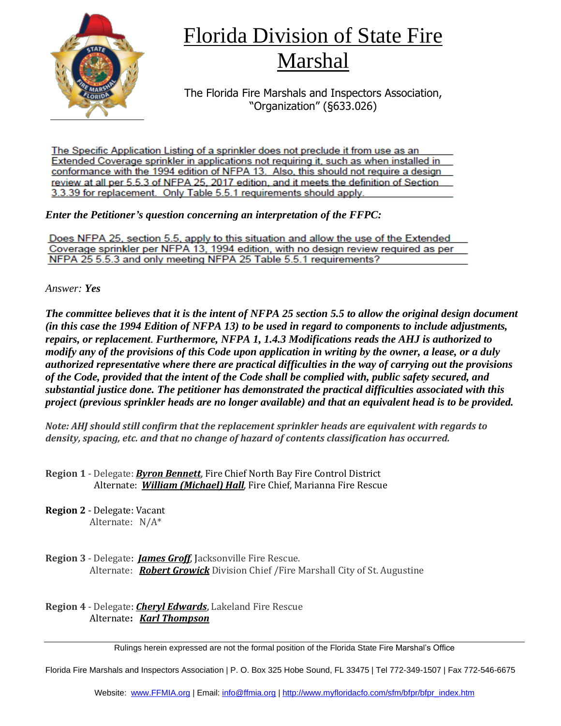

## Florida Division of State Fire Marshal

The Florida Fire Marshals and Inspectors Association, "Organization" (§633.026)

The Specific Application Listing of a sprinkler does not preclude it from use as an Extended Coverage sprinkler in applications not requiring it, such as when installed in conformance with the 1994 edition of NFPA 13. Also, this should not require a design review at all per 5.5.3 of NFPA 25, 2017 edition, and it meets the definition of Section 3.3.39 for replacement. Only Table 5.5.1 requirements should apply.

*Enter the Petitioner's question concerning an interpretation of the FFPC:*

Does NFPA 25, section 5.5, apply to this situation and allow the use of the Extended Coverage sprinkler per NFPA 13, 1994 edition, with no design review required as per NFPA 25 5.5.3 and only meeting NFPA 25 Table 5.5.1 requirements?

*Answer: Yes*

*The committee believes that it is the intent of NFPA 25 section 5.5 to allow the original design document (in this case the 1994 Edition of NFPA 13) to be used in regard to components to include adjustments, repairs, or replacement. Furthermore, NFPA 1, 1.4.3 Modifications reads the AHJ is authorized to modify any of the provisions of this Code upon application in writing by the owner, a lease, or a duly authorized representative where there are practical difficulties in the way of carrying out the provisions of the Code, provided that the intent of the Code shall be complied with, public safety secured, and substantial justice done. The petitioner has demonstrated the practical difficulties associated with this project (previous sprinkler heads are no longer available) and that an equivalent head is to be provided.*

*Note: AHJ should still confirm that the replacement sprinkler heads are equivalent with regards to density, spacing, etc. and that no change of hazard of contents classification has occurred.*

**Region 1** - Delegate: *Byron Bennett*, Fire Chief North Bay Fire Control District Alternate: *William (Michael) Hall*, Fire Chief, Marianna Fire Rescue

**Region 2** - Delegate: Vacant Alternate: N/A\*

**Region 3** - Delegate: *James Groff*, Jacksonville Fire Rescue. Alternate: *Robert Growick* Division Chief /Fire Marshall City of St. Augustine

**Region 4** - Delegate: *Cheryl Edwards*, Lakeland Fire Rescue Alternate**:** *Karl Thompson*

Rulings herein expressed are not the formal position of the Florida State Fire Marshal's Office

Florida Fire Marshals and Inspectors Association | P. O. Box 325 Hobe Sound, FL 33475 | Tel 772-349-1507 | Fax 772-546-6675